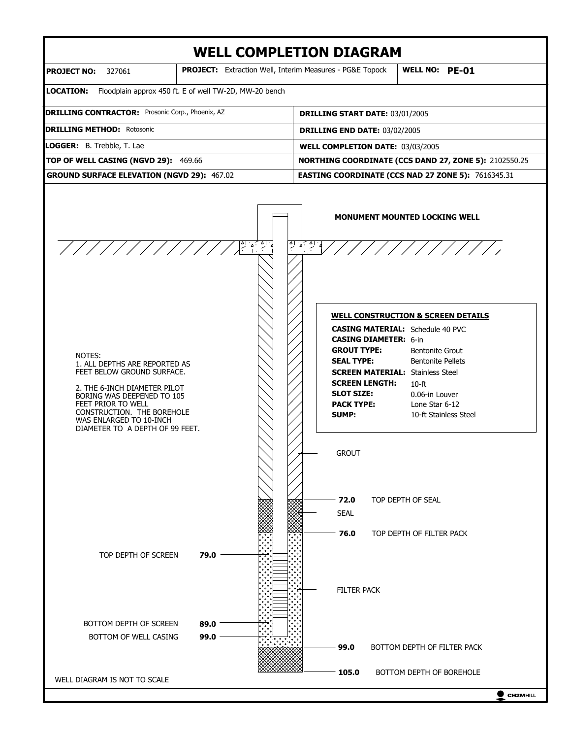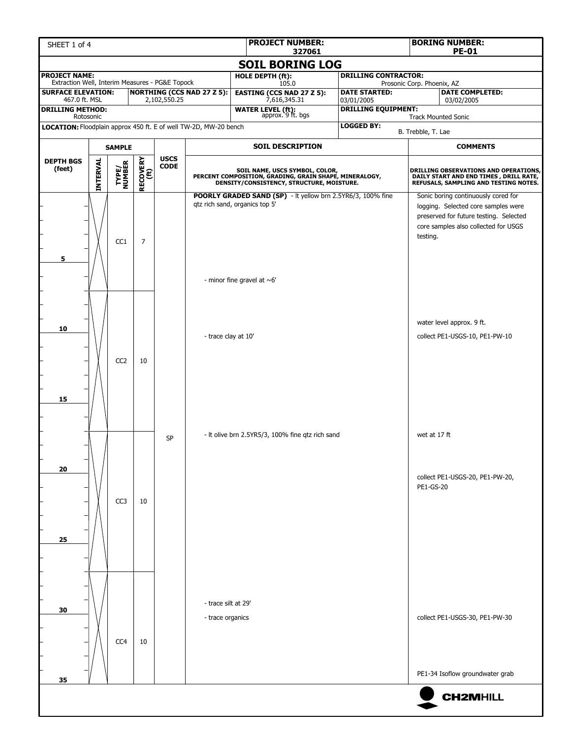| SHEET 1 of 4                                                            |                 |                 | <b>BORING NUMBER:</b><br><b>PE-01</b> |                            |                                         |                                                                                                                                       |                                          |                                                                                                                                                                          |
|-------------------------------------------------------------------------|-----------------|-----------------|---------------------------------------|----------------------------|-----------------------------------------|---------------------------------------------------------------------------------------------------------------------------------------|------------------------------------------|--------------------------------------------------------------------------------------------------------------------------------------------------------------------------|
|                                                                         |                 |                 |                                       |                            |                                         | 327061<br><b>SOIL BORING LOG</b>                                                                                                      |                                          |                                                                                                                                                                          |
| <b>PROJECT NAME:</b><br>Extraction Well, Interim Measures - PG&E Topock |                 |                 |                                       |                            |                                         | <b>HOLE DEPTH (ft):</b>                                                                                                               | <b>DRILLING CONTRACTOR:</b>              |                                                                                                                                                                          |
| <b>SURFACE ELEVATION:</b>                                               |                 |                 |                                       |                            | <b>NORTHING (CCS NAD 27 Z 5):</b>       | 105.0<br><b>EASTING (CCS NAD 27 Z 5):</b>                                                                                             | <b>DATE STARTED:</b>                     | Prosonic Corp. Phoenix, AZ<br><b>DATE COMPLETED:</b>                                                                                                                     |
| 467.0 ft. MSL<br><b>DRILLING METHOD:</b>                                |                 |                 |                                       | 2,102,550.25               |                                         | 7,616,345.31<br><b>WATER LEVEL (ft):</b><br>approx. 9 ft. bgs                                                                         | 03/01/2005<br><b>DRILLING EQUIPMENT:</b> | 03/02/2005                                                                                                                                                               |
|                                                                         | Rotosonic       |                 |                                       |                            |                                         |                                                                                                                                       | <b>LOGGED BY:</b>                        | <b>Track Mounted Sonic</b>                                                                                                                                               |
| LOCATION: Floodplain approx 450 ft. E of well TW-2D, MW-20 bench        |                 |                 |                                       |                            |                                         |                                                                                                                                       |                                          | B. Trebble, T. Lae                                                                                                                                                       |
|                                                                         |                 | <b>SAMPLE</b>   |                                       |                            |                                         | <b>SOIL DESCRIPTION</b>                                                                                                               |                                          | <b>COMMENTS</b>                                                                                                                                                          |
| <b>DEPTH BGS</b><br>(feet)                                              | <b>INTERVAL</b> | TYPE/<br>NUMBER | RECOVERY<br>(ft)                      | <b>USCS</b><br><b>CODE</b> |                                         | SOIL NAME, USCS SYMBOL, COLOR,<br>PERCENT COMPOSITION, GRADING, GRAIN SHAPE, MINERALOGY,<br>DENSITY/CONSISTENCY, STRUCTURE, MOISTURE. |                                          | DRILLING OBSERVATIONS AND OPERATIONS,<br>DAILY START AND END TIMES , DRILL RATE,<br>REFUSALS, SAMPLING AND TESTING NOTES.                                                |
| 5                                                                       |                 | CC <sub>1</sub> | $\overline{7}$                        |                            |                                         | POORLY GRADED SAND (SP) - It yellow brn 2.5YR6/3, 100% fine<br>qtz rich sand, organics top 5'<br>- minor fine gravel at $~6'$         |                                          | Sonic boring continuously cored for<br>logging. Selected core samples were<br>preserved for future testing. Selected<br>core samples also collected for USGS<br>testing. |
| 10<br>15                                                                |                 | CC <sub>2</sub> | 10                                    |                            | - trace clay at 10'                     |                                                                                                                                       |                                          | water level approx. 9 ft.<br>collect PE1-USGS-10, PE1-PW-10                                                                                                              |
| 20                                                                      |                 | CC <sub>3</sub> | 10                                    | <b>SP</b>                  |                                         | - It olive brn 2.5YR5/3, 100% fine gtz rich sand                                                                                      |                                          | wet at 17 ft<br>collect PE1-USGS-20, PE1-PW-20,<br>PE1-GS-20                                                                                                             |
| 25                                                                      |                 |                 |                                       |                            |                                         |                                                                                                                                       |                                          |                                                                                                                                                                          |
| 30                                                                      |                 | CC4             | 10                                    |                            | - trace silt at 29'<br>- trace organics |                                                                                                                                       |                                          | collect PE1-USGS-30, PE1-PW-30<br>PE1-34 Isoflow groundwater grab                                                                                                        |
| 35                                                                      |                 |                 |                                       |                            |                                         |                                                                                                                                       |                                          | <b>CH2MHILL</b>                                                                                                                                                          |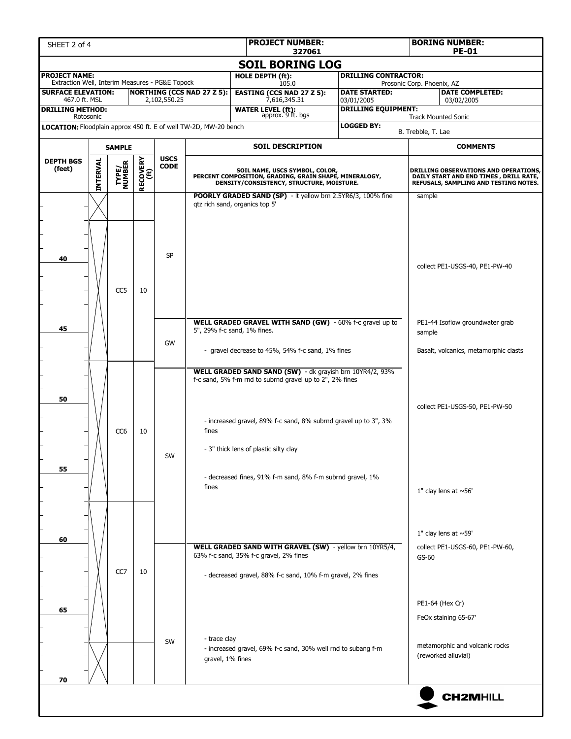| <b>PROJECT NUMBER:</b><br>SHEET 2 of 4<br>327061                        |                              |                 |                  |              |                                   |                                                                                                                                                                                                                                                                                               |                                          |                                                                                                                          | <b>BORING NUMBER:</b><br><b>PE-01</b>                                                            |  |  |
|-------------------------------------------------------------------------|------------------------------|-----------------|------------------|--------------|-----------------------------------|-----------------------------------------------------------------------------------------------------------------------------------------------------------------------------------------------------------------------------------------------------------------------------------------------|------------------------------------------|--------------------------------------------------------------------------------------------------------------------------|--------------------------------------------------------------------------------------------------|--|--|
|                                                                         |                              |                 |                  |              |                                   | <b>SOIL BORING LOG</b>                                                                                                                                                                                                                                                                        |                                          |                                                                                                                          |                                                                                                  |  |  |
| <b>PROJECT NAME:</b><br>Extraction Well, Interim Measures - PG&E Topock |                              |                 |                  |              |                                   | HOLE DEPTH (ft):<br>105.0                                                                                                                                                                                                                                                                     | <b>DRILLING CONTRACTOR:</b>              | Prosonic Corp. Phoenix, AZ                                                                                               |                                                                                                  |  |  |
| <b>SURFACE ELEVATION:</b>                                               |                              |                 |                  |              | <b>NORTHING (CCS NAD 27 Z 5):</b> | <b>EASTING (CCS NAD 27 Z 5):</b>                                                                                                                                                                                                                                                              | <b>DATE STARTED:</b>                     |                                                                                                                          | <b>DATE COMPLETED:</b>                                                                           |  |  |
| 467.0 ft. MSL<br><b>DRILLING METHOD:</b>                                |                              |                 |                  | 2,102,550.25 |                                   | 7,616,345.31<br><b>WATER LEVEL (ft):</b><br>approx. 9 ft. bgs                                                                                                                                                                                                                                 | 03/01/2005<br><b>DRILLING EQUIPMENT:</b> |                                                                                                                          | 03/02/2005                                                                                       |  |  |
| LOCATION: Floodplain approx 450 ft. E of well TW-2D, MW-20 bench        | Rotosonic                    |                 |                  |              |                                   |                                                                                                                                                                                                                                                                                               | <b>LOGGED BY:</b>                        |                                                                                                                          | <b>Track Mounted Sonic</b>                                                                       |  |  |
|                                                                         |                              |                 |                  |              |                                   |                                                                                                                                                                                                                                                                                               |                                          | B. Trebble, T. Lae                                                                                                       |                                                                                                  |  |  |
|                                                                         | <b>SAMPLE</b><br><b>USCS</b> |                 |                  |              |                                   | <b>SOIL DESCRIPTION</b>                                                                                                                                                                                                                                                                       |                                          |                                                                                                                          | <b>COMMENTS</b>                                                                                  |  |  |
| <b>DEPTH BGS</b><br>(feet)                                              | <b>INTERVAL</b>              | TYPE/<br>NUMBER | RECOVERY<br>(ft) | <b>CODE</b>  |                                   | SOIL NAME, USCS SYMBOL, COLOR,<br>PERCENT COMPOSITION, GRADING, GRAIN SHAPE, MINERALOGY,<br>DENSITY/CONSISTENCY, STRUCTURE, MOISTURE.                                                                                                                                                         |                                          | DRILLING OBSERVATIONS AND OPERATIONS,<br>DAILY START AND END TIMES, DRILL RATE,<br>REFUSALS, SAMPLING AND TESTING NOTES. |                                                                                                  |  |  |
| 40                                                                      |                              |                 |                  | <b>SP</b>    |                                   | POORLY GRADED SAND (SP) - It yellow brn 2.5YR6/3, 100% fine<br>gtz rich sand, organics top 5'                                                                                                                                                                                                 |                                          | sample                                                                                                                   | collect PE1-USGS-40, PE1-PW-40                                                                   |  |  |
| 45                                                                      |                              | CC <sub>5</sub> | 10               | GW           |                                   | WELL GRADED GRAVEL WITH SAND (GW) - 60% f-c gravel up to<br>5", 29% f-c sand, 1% fines.<br>- gravel decrease to 45%, 54% f-c sand, 1% fines                                                                                                                                                   |                                          | sample                                                                                                                   | PE1-44 Isoflow groundwater grab<br>Basalt, volcanics, metamorphic clasts                         |  |  |
| 50<br>55                                                                |                              | CC <sub>6</sub> | 10               | SW           | fines<br>fines                    | WELL GRADED SAND SAND (SW) - dk grayish brn 10YR4/2, 93%<br>f-c sand, 5% f-m rnd to subrnd gravel up to 2", 2% fines<br>- increased gravel, 89% f-c sand, 8% subrnd gravel up to 3", 3%<br>- 3" thick lens of plastic silty clay<br>- decreased fines, 91% f-m sand, 8% f-m subrnd gravel, 1% |                                          | collect PE1-USGS-50, PE1-PW-50                                                                                           |                                                                                                  |  |  |
| 60                                                                      |                              | CC7             | 10               |              |                                   | WELL GRADED SAND WITH GRAVEL (SW) - yellow brn 10YR5/4,<br>63% f-c sand, 35% f-c gravel, 2% fines<br>- decreased gravel, 88% f-c sand, 10% f-m gravel, 2% fines                                                                                                                               |                                          | $GS-60$                                                                                                                  | 1" clay lens at $~56'$<br>1" clay lens at $~59'$<br>collect PE1-USGS-60, PE1-PW-60,              |  |  |
| 65                                                                      |                              |                 |                  | SW           | - trace clay<br>gravel, 1% fines  | - increased gravel, 69% f-c sand, 30% well rnd to subang f-m                                                                                                                                                                                                                                  |                                          |                                                                                                                          | PE1-64 (Hex Cr)<br>FeOx staining 65-67'<br>metamorphic and volcanic rocks<br>(reworked alluvial) |  |  |
| 70                                                                      |                              |                 |                  |              |                                   |                                                                                                                                                                                                                                                                                               |                                          |                                                                                                                          | <b>CH2MHILL</b>                                                                                  |  |  |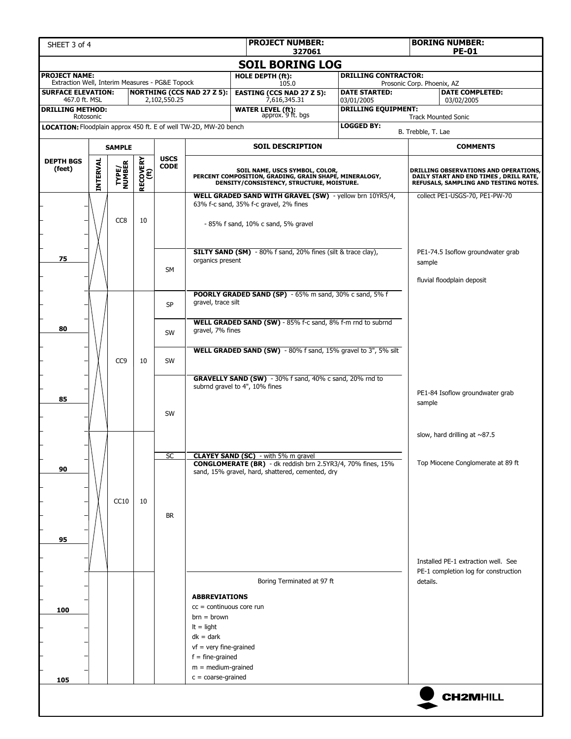| SHEET 3 of 4                                                                         |                 |                 |                         |              |                                                                                                                                                                              | <b>PROJECT NUMBER:</b><br>327061                                                                                                                                     |                                                                                                                           | <b>BORING NUMBER:</b><br><b>PE-01</b>                                       |
|--------------------------------------------------------------------------------------|-----------------|-----------------|-------------------------|--------------|------------------------------------------------------------------------------------------------------------------------------------------------------------------------------|----------------------------------------------------------------------------------------------------------------------------------------------------------------------|---------------------------------------------------------------------------------------------------------------------------|-----------------------------------------------------------------------------|
|                                                                                      |                 |                 |                         |              |                                                                                                                                                                              | <b>SOIL BORING LOG</b>                                                                                                                                               |                                                                                                                           |                                                                             |
| <b>PROJECT NAME:</b><br>Extraction Well, Interim Measures - PG&E Topock              |                 |                 |                         |              |                                                                                                                                                                              | HOLE DEPTH (ft):<br>105.0                                                                                                                                            | <b>DRILLING CONTRACTOR:</b>                                                                                               | Prosonic Corp. Phoenix, AZ                                                  |
| <b>SURFACE ELEVATION:</b><br>467.0 ft. MSL                                           |                 |                 |                         | 2,102,550.25 | <b>NORTHING (CCS NAD 27 Z 5):</b>                                                                                                                                            | <b>EASTING (CCS NAD 27 Z 5):</b>                                                                                                                                     | <b>DATE STARTED:</b>                                                                                                      | <b>DATE COMPLETED:</b>                                                      |
| <b>DRILLING METHOD:</b>                                                              |                 |                 |                         |              |                                                                                                                                                                              | 7,616,345.31<br><b>WATER LEVEL (ft):</b><br>approx. 9 ft. bgs                                                                                                        | 03/01/2005<br><b>DRILLING EQUIPMENT:</b>                                                                                  | 03/02/2005                                                                  |
| Rotosonic<br><b>LOCATION:</b> Floodplain approx 450 ft. E of well TW-2D, MW-20 bench |                 |                 |                         |              |                                                                                                                                                                              |                                                                                                                                                                      | <b>LOGGED BY:</b>                                                                                                         | <b>Track Mounted Sonic</b>                                                  |
|                                                                                      |                 |                 |                         |              |                                                                                                                                                                              | <b>SOIL DESCRIPTION</b>                                                                                                                                              |                                                                                                                           | B. Trebble, T. Lae<br><b>COMMENTS</b>                                       |
| <b>DEPTH BGS</b>                                                                     |                 | <b>SAMPLE</b>   |                         | <b>USCS</b>  |                                                                                                                                                                              |                                                                                                                                                                      |                                                                                                                           |                                                                             |
| (feet)                                                                               | <b>INTERVAL</b> | TYPE/<br>NUMBER | <b>RECOVERY</b><br>(ft) | <b>CODE</b>  |                                                                                                                                                                              | SOIL NAME, USCS SYMBOL, COLOR,<br>PERCENT COMPOSITION, GRADING, GRAIN SHAPE, MINERALOGY,<br>DENSITY/CONSISTENCY, STRUCTURE, MOISTURE.                                | DRILLING OBSERVATIONS AND OPERATIONS,<br>DAILY START AND END TIMES , DRILL RATE,<br>REFUSALS, SAMPLING AND TESTING NOTES. |                                                                             |
|                                                                                      |                 | CC <sub>8</sub> | 10                      |              |                                                                                                                                                                              | WELL GRADED SAND WITH GRAVEL (SW) - yellow brn 10YR5/4,<br>63% f-c sand, 35% f-c gravel, 2% fines<br>- 85% f sand, 10% c sand, 5% gravel                             |                                                                                                                           | collect PE1-USGS-70, PE1-PW-70                                              |
| 75                                                                                   |                 |                 |                         | <b>SM</b>    | organics present                                                                                                                                                             | <b>SILTY SAND (SM)</b> - 80% f sand, 20% fines (silt & trace clay),                                                                                                  |                                                                                                                           | PE1-74.5 Isoflow groundwater grab<br>sample<br>fluvial floodplain deposit   |
|                                                                                      |                 |                 |                         | <b>SP</b>    | gravel, trace silt                                                                                                                                                           | POORLY GRADED SAND (SP) - 65% m sand, 30% c sand, 5% f                                                                                                               |                                                                                                                           |                                                                             |
| 80                                                                                   |                 |                 |                         | <b>SW</b>    | gravel, 7% fines                                                                                                                                                             | WELL GRADED SAND (SW) - 85% f-c sand, 8% f-m rnd to subrnd                                                                                                           |                                                                                                                           |                                                                             |
|                                                                                      |                 | CC <sub>9</sub> | 10                      | <b>SW</b>    |                                                                                                                                                                              | WELL GRADED SAND (SW) - 80% f sand, 15% gravel to 3", 5% silt                                                                                                        |                                                                                                                           |                                                                             |
| 85                                                                                   |                 |                 |                         | <b>SW</b>    |                                                                                                                                                                              | GRAVELLY SAND (SW) - 30% f sand, 40% c sand, 20% rnd to<br>subrnd gravel to 4", 10% fines                                                                            |                                                                                                                           | PE1-84 Isoflow groundwater grab<br>sample                                   |
|                                                                                      |                 |                 |                         |              |                                                                                                                                                                              |                                                                                                                                                                      |                                                                                                                           | slow, hard drilling at $\sim$ 87.5                                          |
| 90                                                                                   |                 |                 |                         | <b>SC</b>    |                                                                                                                                                                              | <b>CLAYEY SAND (SC)</b> - with 5% m gravel<br><b>CONGLOMERATE (BR)</b> - dk reddish brn 2.5YR3/4, 70% fines, 15%<br>sand, 15% gravel, hard, shattered, cemented, dry |                                                                                                                           | Top Miocene Conglomerate at 89 ft                                           |
| 95                                                                                   |                 | CC10            | 10                      | <b>BR</b>    |                                                                                                                                                                              |                                                                                                                                                                      |                                                                                                                           |                                                                             |
|                                                                                      |                 |                 |                         |              |                                                                                                                                                                              |                                                                                                                                                                      |                                                                                                                           | Installed PE-1 extraction well. See<br>PE-1 completion log for construction |
| 100                                                                                  |                 |                 |                         |              | <b>ABBREVIATIONS</b><br>$cc =$ continuous core run<br>$brn = brown$<br>$It = light$<br>$dk = dark$<br>$vf$ = very fine-grained<br>$f = fine-grained$<br>$m = medium-grained$ | Boring Terminated at 97 ft                                                                                                                                           |                                                                                                                           | details.                                                                    |
| 105                                                                                  |                 |                 |                         |              | $c = coarse-grained$                                                                                                                                                         |                                                                                                                                                                      |                                                                                                                           | <b>CH2MHILL</b>                                                             |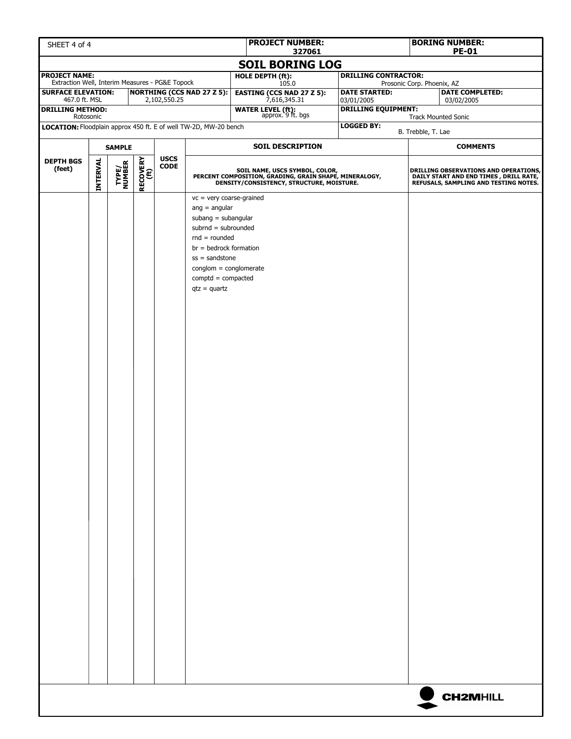| SHEET 4 of 4                                                                  |                                                                                      |  |  |              |                                                                                                                                                                                                                                          | <b>PROJECT NUMBER:</b>                                                                                                                | 327061 |                                          | <b>BORING NUMBER:</b><br><b>PE-01</b> |                                                                                                                                 |
|-------------------------------------------------------------------------------|--------------------------------------------------------------------------------------|--|--|--------------|------------------------------------------------------------------------------------------------------------------------------------------------------------------------------------------------------------------------------------------|---------------------------------------------------------------------------------------------------------------------------------------|--------|------------------------------------------|---------------------------------------|---------------------------------------------------------------------------------------------------------------------------------|
|                                                                               |                                                                                      |  |  |              |                                                                                                                                                                                                                                          | <b>SOIL BORING LOG</b>                                                                                                                |        |                                          |                                       |                                                                                                                                 |
| <b>PROJECT NAME:</b><br>Extraction Well, Interim Measures - PG&E Topock       |                                                                                      |  |  |              |                                                                                                                                                                                                                                          | HOLE DEPTH (ft):                                                                                                                      |        | <b>DRILLING CONTRACTOR:</b>              |                                       |                                                                                                                                 |
| <b>SURFACE ELEVATION:</b>                                                     |                                                                                      |  |  |              | <b>NORTHING (CCS NAD 27 Z 5):</b>                                                                                                                                                                                                        | 105.0<br><b>EASTING (CCS NAD 27 Z 5):</b>                                                                                             |        | <b>DATE STARTED:</b>                     | Prosonic Corp. Phoenix, AZ            | <b>DATE COMPLETED:</b>                                                                                                          |
| 467.0 ft. MSL<br><b>DRILLING METHOD:</b>                                      |                                                                                      |  |  | 2,102,550.25 |                                                                                                                                                                                                                                          | 7,616,345.31<br><b>WATER LEVEL (ft):</b><br>approx. 9 ft. bgs                                                                         |        | 03/01/2005<br><b>DRILLING EQUIPMENT:</b> |                                       | 03/02/2005                                                                                                                      |
| Rotosonic<br>LOCATION: Floodplain approx 450 ft. E of well TW-2D, MW-20 bench |                                                                                      |  |  |              |                                                                                                                                                                                                                                          |                                                                                                                                       |        | <b>LOGGED BY:</b>                        |                                       | <b>Track Mounted Sonic</b>                                                                                                      |
|                                                                               |                                                                                      |  |  |              |                                                                                                                                                                                                                                          |                                                                                                                                       |        |                                          | B. Trebble, T. Lae                    |                                                                                                                                 |
| <b>SAMPLE</b>                                                                 |                                                                                      |  |  |              | <b>SOIL DESCRIPTION</b>                                                                                                                                                                                                                  |                                                                                                                                       |        |                                          | <b>COMMENTS</b>                       |                                                                                                                                 |
| <b>DEPTH BGS</b><br>(feet)                                                    | <b>USCS</b><br>RECOVERY<br>(ft)<br><b>INTERVAL</b><br>TYPE/<br>NUMBER<br><b>CODE</b> |  |  |              |                                                                                                                                                                                                                                          | SOIL NAME, USCS SYMBOL, COLOR,<br>PERCENT COMPOSITION, GRADING, GRAIN SHAPE, MINERALOGY,<br>DENSITY/CONSISTENCY, STRUCTURE, MOISTURE. |        |                                          |                                       | <b>DRILLING OBSERVATIONS AND OPERATIONS,</b><br>DAILY START AND END TIMES, DRILL RATE,<br>REFUSALS, SAMPLING AND TESTING NOTES. |
|                                                                               |                                                                                      |  |  |              | $vc = very coarse-grained$<br>$ang = angular$<br>subang $=$ subangular<br>$subrnd = subrounded$<br>$rnd = rounded$<br>$br = bedrock formation$<br>$ss =$ sandstone<br>$conglom = conglomerate$<br>$comptd = compacted$<br>$qtz = quartz$ |                                                                                                                                       |        |                                          |                                       |                                                                                                                                 |
|                                                                               |                                                                                      |  |  |              |                                                                                                                                                                                                                                          |                                                                                                                                       |        |                                          |                                       | <b>CH2MHILL</b>                                                                                                                 |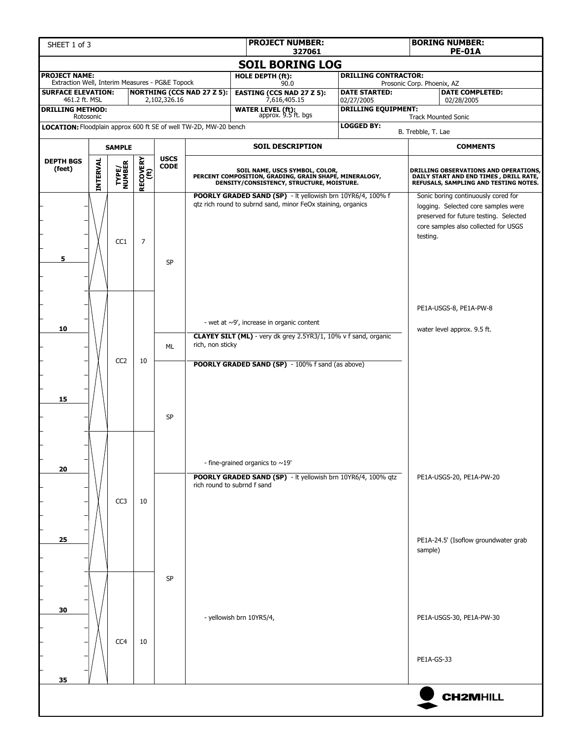| SHEET 1 of 3                                                            |          |                 | <b>BORING NUMBER:</b><br><b>PE-01A</b> |                            |                                   |                                                                                                                                       |                                                 |                                                                                                                                                                          |
|-------------------------------------------------------------------------|----------|-----------------|----------------------------------------|----------------------------|-----------------------------------|---------------------------------------------------------------------------------------------------------------------------------------|-------------------------------------------------|--------------------------------------------------------------------------------------------------------------------------------------------------------------------------|
|                                                                         |          |                 |                                        |                            |                                   | 327061<br><b>SOIL BORING LOG</b>                                                                                                      |                                                 |                                                                                                                                                                          |
| <b>PROJECT NAME:</b><br>Extraction Well, Interim Measures - PG&E Topock |          |                 |                                        |                            |                                   | HOLE DEPTH (ft):<br>90.0                                                                                                              | <b>DRILLING CONTRACTOR:</b>                     | Prosonic Corp. Phoenix, AZ                                                                                                                                               |
| <b>SURFACE ELEVATION:</b><br>461.2 ft. MSL                              |          |                 |                                        | 2,102,326.16               | <b>NORTHING (CCS NAD 27 Z 5):</b> | <b>EASTING (CCS NAD 27 Z 5):</b><br>7,616,405.15                                                                                      | <b>DATE STARTED:</b><br>02/27/2005              | <b>DATE COMPLETED:</b><br>02/28/2005                                                                                                                                     |
| <b>DRILLING METHOD:</b><br>Rotosonic                                    |          |                 |                                        |                            |                                   | <b>WATER LEVEL (ft):</b><br>approx. 9.5 ft. bgs                                                                                       | <b>DRILLING EQUIPMENT:</b>                      | <b>Track Mounted Sonic</b>                                                                                                                                               |
| LOCATION: Floodplain approx 600 ft SE of well TW-2D, MW-20 bench        |          |                 |                                        |                            |                                   |                                                                                                                                       | <b>LOGGED BY:</b>                               | B. Trebble, T. Lae                                                                                                                                                       |
|                                                                         |          | <b>SAMPLE</b>   |                                        |                            |                                   | <b>SOIL DESCRIPTION</b>                                                                                                               |                                                 | <b>COMMENTS</b>                                                                                                                                                          |
| <b>DEPTH BGS</b><br>(feet)                                              | INTERVAL | TYPE/<br>NUMBER | RECOVERY<br>(ft)                       | <b>USCS</b><br><b>CODE</b> |                                   | SOIL NAME, USCS SYMBOL, COLOR,<br>PERCENT COMPOSITION, GRADING, GRAIN SHAPE, MINERALOGY,<br>DENSITY/CONSISTENCY, STRUCTURE, MOISTURE. |                                                 | DRILLING OBSERVATIONS AND OPERATIONS,<br>DAILY START AND END TIMES, DRILL RATE,<br>REFUSALS, SAMPLING AND TESTING NOTES.                                                 |
| 5                                                                       |          | CC <sub>1</sub> | $\overline{7}$                         | <b>SP</b>                  |                                   | POORLY GRADED SAND (SP) - It yellowish brn 10YR6/4, 100% f<br>gtz rich round to subrnd sand, minor FeOx staining, organics            |                                                 | Sonic boring continuously cored for<br>logging. Selected core samples were<br>preserved for future testing. Selected<br>core samples also collected for USGS<br>testing. |
| 10                                                                      |          |                 |                                        |                            |                                   | - wet at $\sim$ 9', increase in organic content                                                                                       |                                                 | PE1A-USGS-8, PE1A-PW-8<br>water level approx. 9.5 ft.                                                                                                                    |
|                                                                         |          |                 |                                        | <b>ML</b>                  | rich, non sticky                  | CLAYEY SILT (ML) - very dk grey 2.5YR3/1, 10% v f sand, organic                                                                       |                                                 |                                                                                                                                                                          |
| 15                                                                      |          | CC <sub>2</sub> | 10                                     | <b>SP</b>                  |                                   | <b>POORLY GRADED SAND (SP)</b> - 100% f sand (as above)                                                                               |                                                 |                                                                                                                                                                          |
| 20                                                                      |          |                 |                                        |                            |                                   | - fine-grained organics to $\sim$ 19'<br>POORLY GRADED SAND (SP) - It yellowish brn 10YR6/4, 100% qtz                                 |                                                 | PE1A-USGS-20, PE1A-PW-20                                                                                                                                                 |
| 25                                                                      |          | CC <sub>3</sub> | 10                                     |                            |                                   | rich round to subrnd f sand                                                                                                           | PE1A-24.5' (Isoflow groundwater grab<br>sample) |                                                                                                                                                                          |
| 30<br>35                                                                |          | CC <sub>4</sub> | 10                                     | SP                         |                                   | - yellowish brn 10YR5/4,                                                                                                              |                                                 | PE1A-USGS-30, PE1A-PW-30<br>PE1A-GS-33                                                                                                                                   |
|                                                                         |          |                 |                                        |                            |                                   |                                                                                                                                       |                                                 | <b>CH2MHILL</b>                                                                                                                                                          |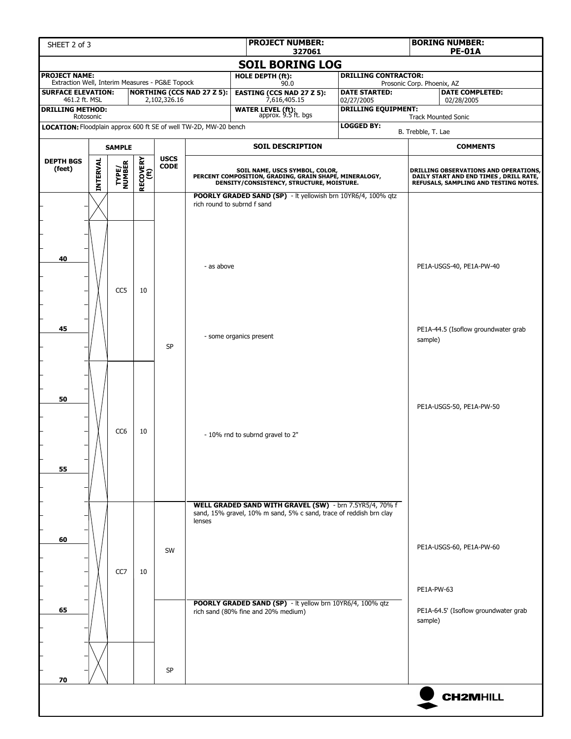| SHEET 2 of 3                                                            |                 |                 |          |              |                                   | <b>PROJECT NUMBER:</b><br>327061                                                                                                                                                                                                  |                                          |                            | <b>BORING NUMBER:</b><br><b>PE-01A</b>                                                                                          |
|-------------------------------------------------------------------------|-----------------|-----------------|----------|--------------|-----------------------------------|-----------------------------------------------------------------------------------------------------------------------------------------------------------------------------------------------------------------------------------|------------------------------------------|----------------------------|---------------------------------------------------------------------------------------------------------------------------------|
|                                                                         |                 |                 |          |              |                                   | <b>SOIL BORING LOG</b>                                                                                                                                                                                                            |                                          |                            |                                                                                                                                 |
| <b>PROJECT NAME:</b><br>Extraction Well, Interim Measures - PG&E Topock |                 |                 |          |              |                                   | HOLE DEPTH (ft):<br>90.0                                                                                                                                                                                                          | <b>DRILLING CONTRACTOR:</b>              | Prosonic Corp. Phoenix, AZ |                                                                                                                                 |
| <b>SURFACE ELEVATION:</b>                                               |                 |                 |          |              | <b>NORTHING (CCS NAD 27 Z 5):</b> | <b>EASTING (CCS NAD 27 Z 5):</b>                                                                                                                                                                                                  | <b>DATE STARTED:</b>                     |                            | <b>DATE COMPLETED:</b>                                                                                                          |
| 461.2 ft. MSL<br><b>DRILLING METHOD:</b>                                |                 |                 |          | 2,102,326.16 |                                   | 7,616,405.15<br><b>WATER LEVEL (ft):</b><br>approx. 9.5 ft. bgs                                                                                                                                                                   | 02/27/2005<br><b>DRILLING EQUIPMENT:</b> |                            | 02/28/2005                                                                                                                      |
| LOCATION: Floodplain approx 600 ft SE of well TW-2D, MW-20 bench        | Rotosonic       |                 |          |              |                                   |                                                                                                                                                                                                                                   | <b>LOGGED BY:</b>                        |                            | <b>Track Mounted Sonic</b>                                                                                                      |
|                                                                         |                 |                 |          |              |                                   |                                                                                                                                                                                                                                   |                                          | B. Trebble, T. Lae         |                                                                                                                                 |
|                                                                         |                 | <b>SAMPLE</b>   |          | <b>USCS</b>  |                                   | <b>SOIL DESCRIPTION</b>                                                                                                                                                                                                           |                                          |                            | <b>COMMENTS</b>                                                                                                                 |
| <b>DEPTH BGS</b><br>(feet)                                              | <b>INTERVAL</b> | TYPE/<br>NUMBER | RECOVERY | <b>CODE</b>  |                                   | SOIL NAME, USCS SYMBOL, COLOR,<br>PERCENT COMPOSITION, GRADING, GRAIN SHAPE, MINERALOGY,<br>DENSITY/CONSISTENCY, STRUCTURE, MOISTURE.                                                                                             |                                          |                            | <b>DRILLING OBSERVATIONS AND OPERATIONS,</b><br>DAILY START AND END TIMES, DRILL RATE,<br>REFUSALS, SAMPLING AND TESTING NOTES. |
| 40                                                                      |                 |                 |          |              | - as above                        | POORLY GRADED SAND (SP) - It yellowish brn 10YR6/4, 100% qtz<br>rich round to subrnd f sand                                                                                                                                       |                                          |                            | PE1A-USGS-40, PE1A-PW-40                                                                                                        |
| 45                                                                      |                 | CC5             | 10       | <b>SP</b>    |                                   | - some organics present                                                                                                                                                                                                           |                                          | sample)                    | PE1A-44.5 (Isoflow groundwater grab                                                                                             |
| 50<br>55                                                                |                 | CC <sub>6</sub> | 10       |              |                                   | - 10% rnd to subrnd gravel to 2"                                                                                                                                                                                                  |                                          |                            | PE1A-USGS-50, PE1A-PW-50                                                                                                        |
| 60<br>65                                                                |                 | CC <sub>7</sub> | 10       | SW           | lenses                            | WELL GRADED SAND WITH GRAVEL (SW) - brn 7.5YR5/4, 70% f<br>sand, 15% gravel, 10% m sand, 5% c sand, trace of reddish brn clay<br>POORLY GRADED SAND (SP) - It yellow brn 10YR6/4, 100% qtz<br>rich sand (80% fine and 20% medium) |                                          | PE1A-PW-63<br>sample)      | PE1A-USGS-60, PE1A-PW-60<br>PE1A-64.5' (Isoflow groundwater grab                                                                |
|                                                                         |                 |                 |          | <b>SP</b>    |                                   |                                                                                                                                                                                                                                   |                                          |                            |                                                                                                                                 |
| 70                                                                      |                 |                 |          |              |                                   |                                                                                                                                                                                                                                   |                                          |                            | <b>CH2MHILL</b>                                                                                                                 |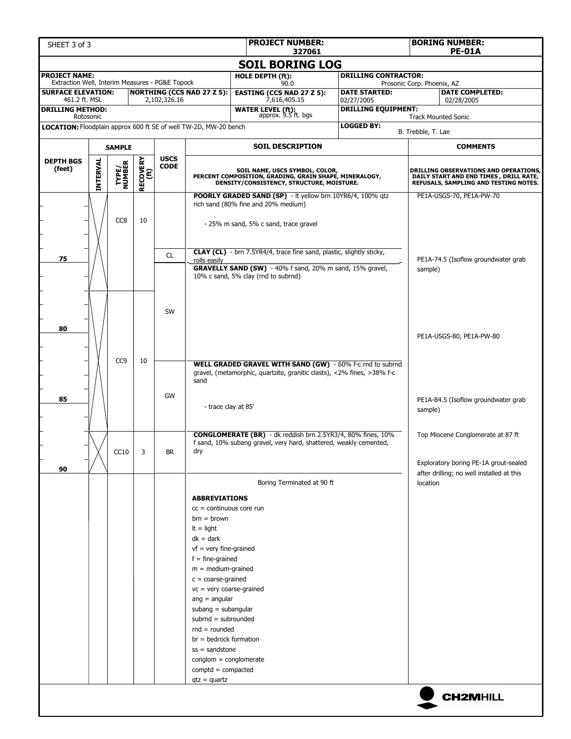| <b>PROJECT NUMBER:</b><br>SHEET 3 of 3<br>327061                              |          |                         |                  |              |                                                                                                                                                                                                                                                                                                                                                                                                                                                |                                                                                                                                           |                                          |                            | <b>BORING NUMBER:</b><br><b>PE-01A</b>                                                                                   |  |  |
|-------------------------------------------------------------------------------|----------|-------------------------|------------------|--------------|------------------------------------------------------------------------------------------------------------------------------------------------------------------------------------------------------------------------------------------------------------------------------------------------------------------------------------------------------------------------------------------------------------------------------------------------|-------------------------------------------------------------------------------------------------------------------------------------------|------------------------------------------|----------------------------|--------------------------------------------------------------------------------------------------------------------------|--|--|
|                                                                               |          |                         |                  |              |                                                                                                                                                                                                                                                                                                                                                                                                                                                | <b>SOIL BORING LOG</b>                                                                                                                    |                                          |                            |                                                                                                                          |  |  |
| <b>PROJECT NAME:</b><br>Extraction Well, Interim Measures - PG&E Topock       |          |                         |                  |              |                                                                                                                                                                                                                                                                                                                                                                                                                                                | HOLE DEPTH (ft):<br>90.0                                                                                                                  | <b>DRILLING CONTRACTOR:</b>              | Prosonic Corp. Phoenix, AZ |                                                                                                                          |  |  |
| <b>SURFACE ELEVATION:</b>                                                     |          |                         |                  |              | <b>NORTHING (CCS NAD 27 Z 5):</b>                                                                                                                                                                                                                                                                                                                                                                                                              | <b>EASTING (CCS NAD 27 Z 5):</b>                                                                                                          | <b>DATE STARTED:</b>                     |                            | <b>DATE COMPLETED:</b>                                                                                                   |  |  |
| 461.2 ft. MSL<br><b>DRILLING METHOD:</b>                                      |          |                         |                  | 2,102,326.16 |                                                                                                                                                                                                                                                                                                                                                                                                                                                | 7,616,405.15<br><b>WATER LEVEL (ft):</b><br>approx. 9.5 ft. bgs                                                                           | 02/27/2005<br><b>DRILLING EQUIPMENT:</b> |                            | 02/28/2005                                                                                                               |  |  |
| Rotosonic<br>LOCATION: Floodplain approx 600 ft SE of well TW-2D, MW-20 bench |          |                         |                  |              |                                                                                                                                                                                                                                                                                                                                                                                                                                                |                                                                                                                                           | <b>LOGGED BY:</b>                        |                            | <b>Track Mounted Sonic</b>                                                                                               |  |  |
|                                                                               |          |                         |                  |              |                                                                                                                                                                                                                                                                                                                                                                                                                                                |                                                                                                                                           |                                          | B. Trebble, T. Lae         |                                                                                                                          |  |  |
|                                                                               |          | <b>SAMPLE</b>           |                  | <b>USCS</b>  |                                                                                                                                                                                                                                                                                                                                                                                                                                                | <b>SOIL DESCRIPTION</b>                                                                                                                   |                                          |                            | <b>COMMENTS</b>                                                                                                          |  |  |
| <b>DEPTH BGS</b><br>(feet)                                                    | INTERVAL | <b>TYPE/<br/>NUMBER</b> | RECOVERY<br>(ft) | <b>CODE</b>  |                                                                                                                                                                                                                                                                                                                                                                                                                                                | SOIL NAME, USCS SYMBOL, COLOR,<br>PERCENT COMPOSITION, GRADING, GRAIN SHAPE, MINERALOGY,<br>DENSITY/CONSISTENCY, STRUCTURE, MOISTURE.     |                                          |                            | DRILLING OBSERVATIONS AND OPERATIONS,<br>DAILY START AND END TIMES, DRILL RATE,<br>REFUSALS, SAMPLING AND TESTING NOTES. |  |  |
|                                                                               |          | CC <sub>8</sub>         | 10               |              |                                                                                                                                                                                                                                                                                                                                                                                                                                                | POORLY GRADED SAND (SP) - It yellow brn 10YR6/4, 100% qtz<br>rich sand (80% fine and 20% medium)<br>- 25% m sand, 5% c sand, trace gravel |                                          |                            | PE1A-USGS-70, PE1A-PW-70                                                                                                 |  |  |
| 75                                                                            |          |                         |                  | <b>CL</b>    | rolls easily                                                                                                                                                                                                                                                                                                                                                                                                                                   | CLAY (CL) - brn 7.5YR4/4, trace fine sand, plastic, slightly sticky,                                                                      |                                          |                            | PE1A-74.5 (Isoflow groundwater grab                                                                                      |  |  |
|                                                                               |          |                         |                  |              |                                                                                                                                                                                                                                                                                                                                                                                                                                                | GRAVELLY SAND (SW) - 40% f sand, 20% m sand, 15% gravel,<br>10% c sand, 5% clay (rnd to subrnd)                                           |                                          | sample)                    |                                                                                                                          |  |  |
| 80                                                                            |          |                         |                  | SW           |                                                                                                                                                                                                                                                                                                                                                                                                                                                |                                                                                                                                           |                                          |                            | PE1A-USGS-80, PE1A-PW-80                                                                                                 |  |  |
| 85                                                                            |          | CC <sub>9</sub>         | 10               | GW           | sand<br>- trace clay at 85'                                                                                                                                                                                                                                                                                                                                                                                                                    | WELL GRADED GRAVEL WITH SAND (GW) - 60% f-c rnd to subrnd<br>gravel, (metamorphic, quartzite, granitic clasts), <2% fines, >38% f-c       |                                          |                            | PE1A-84.5 (Isoflow groundwater grab                                                                                      |  |  |
|                                                                               |          | CC10                    | 3                | <b>BR</b>    | dry                                                                                                                                                                                                                                                                                                                                                                                                                                            | <b>CONGLOMERATE (BR)</b> - dk reddish brn 2.5YR3/4, 80% fines, 10%<br>f sand, 10% subang gravel, very hard, shattered, weakly cemented,   |                                          | sample)                    | Top Miocene Conglomerate at 87 ft                                                                                        |  |  |
| 90                                                                            |          |                         |                  |              |                                                                                                                                                                                                                                                                                                                                                                                                                                                |                                                                                                                                           |                                          |                            | Exploratory boring PE-1A grout-sealed<br>after drilling; no well installed at this                                       |  |  |
|                                                                               |          |                         |                  |              |                                                                                                                                                                                                                                                                                                                                                                                                                                                | Boring Terminated at 90 ft                                                                                                                |                                          | location                   |                                                                                                                          |  |  |
|                                                                               |          |                         |                  |              | <b>ABBREVIATIONS</b><br>$cc =$ continuous core run<br>$brn = brown$<br>$It = light$<br>$dk = dark$<br>$vf$ = very fine-grained<br>$f = fine-grained$<br>$m = medium-grained$<br>$c = coarse-grained$<br>$vc = very coarse-grained$<br>$ang = angular$<br>$subang = subangular$<br>subrnd = subrounded<br>$rnd = rounded$<br>$br = bedrock formation$<br>$ss =$ sandstone<br>$conglom = conglomerate$<br>$comptd = compacted$<br>$qtz = quartz$ |                                                                                                                                           |                                          |                            |                                                                                                                          |  |  |
|                                                                               |          |                         |                  |              |                                                                                                                                                                                                                                                                                                                                                                                                                                                |                                                                                                                                           |                                          |                            | <b>CH2MHILL</b>                                                                                                          |  |  |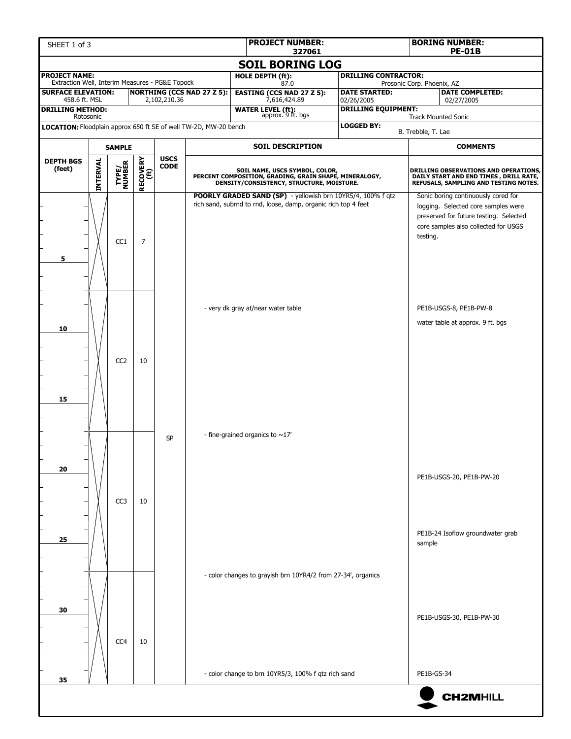| SHEET 1 of 3                                                            |                 |                         | <b>BORING NUMBER:</b><br><b>PE-01B</b> |                            |                                    |                                                                                                                                       |                                         |                                                                                                                                                                          |  |
|-------------------------------------------------------------------------|-----------------|-------------------------|----------------------------------------|----------------------------|------------------------------------|---------------------------------------------------------------------------------------------------------------------------------------|-----------------------------------------|--------------------------------------------------------------------------------------------------------------------------------------------------------------------------|--|
|                                                                         |                 |                         |                                        |                            |                                    | 327061<br><b>SOIL BORING LOG</b>                                                                                                      |                                         |                                                                                                                                                                          |  |
| <b>PROJECT NAME:</b><br>Extraction Well, Interim Measures - PG&E Topock |                 |                         |                                        |                            |                                    | <b>HOLE DEPTH (ft):</b><br>87.0                                                                                                       | <b>DRILLING CONTRACTOR:</b>             | Prosonic Corp. Phoenix, AZ                                                                                                                                               |  |
| <b>SURFACE ELEVATION:</b><br>458.6 ft. MSL                              |                 |                         |                                        | 2,102,210.36               | <b>NORTHING (CCS NAD 27 Z 5):</b>  | <b>EASTING (CCS NAD 27 Z 5):</b><br>7,616,424.89                                                                                      | <b>DATE STARTED:</b><br>02/26/2005      | <b>DATE COMPLETED:</b><br>02/27/2005                                                                                                                                     |  |
| <b>DRILLING METHOD:</b><br>Rotosonic                                    |                 |                         |                                        |                            |                                    | <b>WATER LEVEL (ft):</b><br>approx. 9 ft. bgs                                                                                         | <b>DRILLING EQUIPMENT:</b>              | <b>Track Mounted Sonic</b>                                                                                                                                               |  |
| LOCATION: Floodplain approx 650 ft SE of well TW-2D, MW-20 bench        |                 |                         |                                        |                            |                                    |                                                                                                                                       | <b>LOGGED BY:</b><br>B. Trebble, T. Lae |                                                                                                                                                                          |  |
|                                                                         |                 | <b>SAMPLE</b>           |                                        |                            |                                    | <b>SOIL DESCRIPTION</b>                                                                                                               |                                         | <b>COMMENTS</b>                                                                                                                                                          |  |
| <b>DEPTH BGS</b><br>(feet)                                              | <b>INTERVAL</b> | <b>TYPE/<br/>NUMBER</b> | RECOVERY<br>(ft)                       | <b>USCS</b><br><b>CODE</b> |                                    | SOIL NAME, USCS SYMBOL, COLOR,<br>PERCENT COMPOSITION, GRADING, GRAIN SHAPE, MINERALOGY,<br>DENSITY/CONSISTENCY, STRUCTURE, MOISTURE. |                                         | DRILLING OBSERVATIONS AND OPERATIONS,<br>DAILY START AND END TIMES, DRILL RATE,<br>REFUSALS, SAMPLING AND TESTING NOTES.                                                 |  |
| 5                                                                       |                 | CC1                     | $\overline{7}$                         |                            |                                    | POORLY GRADED SAND (SP) - yellowish brn 10YR5/4, 100% f qtz<br>rich sand, subrnd to rnd, loose, damp, organic rich top 4 feet         |                                         | Sonic boring continuously cored for<br>logging. Selected core samples were<br>preserved for future testing. Selected<br>core samples also collected for USGS<br>testing. |  |
| 10                                                                      |                 | CC <sub>2</sub>         | 10                                     |                            | - very dk gray at/near water table |                                                                                                                                       |                                         | PE1B-USGS-8, PE1B-PW-8<br>water table at approx. 9 ft. bgs                                                                                                               |  |
| 15                                                                      |                 |                         |                                        | <b>SP</b>                  |                                    | - fine-grained organics to $\sim$ 17'                                                                                                 |                                         |                                                                                                                                                                          |  |
| 20                                                                      |                 | CC <sub>3</sub>         | 10                                     |                            |                                    |                                                                                                                                       |                                         | PE1B-USGS-20, PE1B-PW-20                                                                                                                                                 |  |
| 25                                                                      |                 |                         |                                        |                            |                                    |                                                                                                                                       |                                         | PE1B-24 Isoflow groundwater grab<br>sample                                                                                                                               |  |
| 30                                                                      |                 | CC4                     | 10                                     |                            |                                    | - color changes to grayish brn 10YR4/2 from 27-34', organics                                                                          |                                         | PE1B-USGS-30, PE1B-PW-30                                                                                                                                                 |  |
| 35                                                                      |                 |                         |                                        |                            |                                    | - color change to brn 10YR5/3, 100% f qtz rich sand                                                                                   |                                         | PE1B-GS-34                                                                                                                                                               |  |
|                                                                         |                 |                         |                                        |                            |                                    |                                                                                                                                       |                                         | <b>CH2MHILL</b>                                                                                                                                                          |  |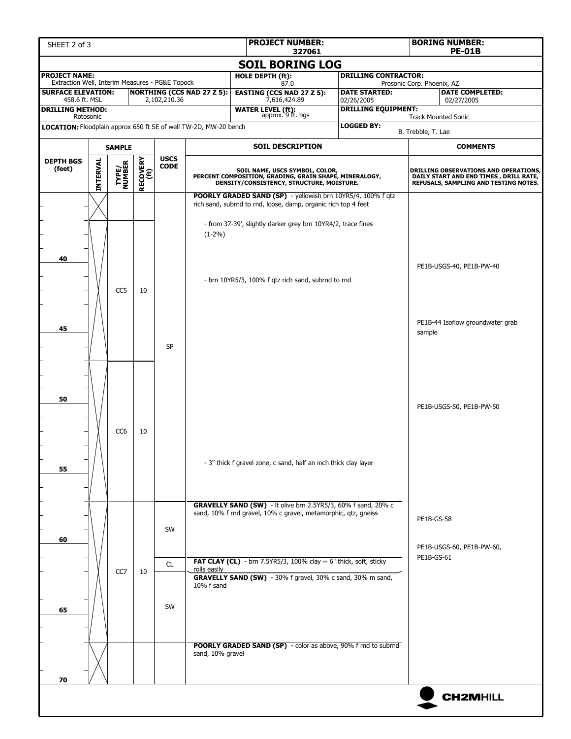| SHEET 2 of 3                                                            |                              |                 | <b>BORING NUMBER:</b><br><b>PE-01B</b> |              |                                   |                                                                                                                                                                                               |                                          |                                                                                                                          |
|-------------------------------------------------------------------------|------------------------------|-----------------|----------------------------------------|--------------|-----------------------------------|-----------------------------------------------------------------------------------------------------------------------------------------------------------------------------------------------|------------------------------------------|--------------------------------------------------------------------------------------------------------------------------|
|                                                                         |                              |                 |                                        |              |                                   | 327061<br><b>SOIL BORING LOG</b>                                                                                                                                                              |                                          |                                                                                                                          |
| <b>PROJECT NAME:</b><br>Extraction Well, Interim Measures - PG&E Topock |                              |                 |                                        |              |                                   | HOLE DEPTH (ft):<br>87.0                                                                                                                                                                      | <b>DRILLING CONTRACTOR:</b>              | Prosonic Corp. Phoenix, AZ                                                                                               |
| <b>SURFACE ELEVATION:</b>                                               |                              |                 |                                        |              | <b>NORTHING (CCS NAD 27 Z 5):</b> | <b>EASTING (CCS NAD 27 Z 5):</b>                                                                                                                                                              | <b>DATE STARTED:</b>                     | <b>DATE COMPLETED:</b>                                                                                                   |
| 458.6 ft. MSL<br><b>DRILLING METHOD:</b>                                |                              |                 |                                        | 2,102,210.36 |                                   | 7,616,424.89<br><b>WATER LEVEL (ft):</b><br>approx. 9 ft. bgs                                                                                                                                 | 02/26/2005<br><b>DRILLING EQUIPMENT:</b> | 02/27/2005                                                                                                               |
| LOCATION: Floodplain approx 650 ft SE of well TW-2D, MW-20 bench        | Rotosonic                    |                 |                                        |              |                                   |                                                                                                                                                                                               | <b>LOGGED BY:</b>                        | <b>Track Mounted Sonic</b>                                                                                               |
|                                                                         |                              |                 |                                        |              |                                   |                                                                                                                                                                                               |                                          | B. Trebble, T. Lae                                                                                                       |
|                                                                         | <b>SAMPLE</b><br><b>USCS</b> |                 |                                        |              |                                   | <b>SOIL DESCRIPTION</b>                                                                                                                                                                       |                                          | <b>COMMENTS</b>                                                                                                          |
| <b>DEPTH BGS</b><br>(feet)                                              | <b>INTERVAL</b>              | TYPE/<br>NUMBER | <b>RECOVERY</b><br>(ft)                | <b>CODE</b>  |                                   | SOIL NAME, USCS SYMBOL, COLOR,<br>PERCENT COMPOSITION, GRADING, GRAIN SHAPE, MINERALOGY,<br>DENSITY/CONSISTENCY, STRUCTURE, MOISTURE.                                                         |                                          | DRILLING OBSERVATIONS AND OPERATIONS,<br>DAILY START AND END TIMES, DRILL RATE,<br>REFUSALS, SAMPLING AND TESTING NOTES. |
| 40                                                                      |                              |                 |                                        |              | $(1-2\%)$                         | POORLY GRADED SAND (SP) - yellowish brn 10YR5/4, 100% f qtz<br>rich sand, subrnd to rnd, loose, damp, organic rich top 4 feet<br>- from 37-39', slightly darker grey brn 10YR4/2, trace fines |                                          |                                                                                                                          |
|                                                                         |                              | CC <sub>5</sub> | 10                                     |              |                                   | - brn 10YR5/3, 100% f gtz rich sand, subrnd to rnd                                                                                                                                            | PE1B-USGS-40, PE1B-PW-40                 |                                                                                                                          |
| 45                                                                      |                              |                 |                                        | <b>SP</b>    |                                   |                                                                                                                                                                                               |                                          | PE1B-44 Isoflow groundwater grab<br>sample                                                                               |
| 50                                                                      |                              | CC <sub>6</sub> | 10                                     |              |                                   |                                                                                                                                                                                               |                                          | PE1B-USGS-50, PE1B-PW-50                                                                                                 |
| 55                                                                      |                              |                 |                                        |              |                                   | - 3" thick f gravel zone, c sand, half an inch thick clay layer                                                                                                                               |                                          |                                                                                                                          |
| 60                                                                      |                              |                 |                                        | SW           |                                   | GRAVELLY SAND (SW) - It olive brn 2.5YR5/3, 60% f sand, 20% c<br>sand, 10% f rnd gravel, 10% c gravel, metamorphic, qtz, gneiss                                                               |                                          | PE1B-GS-58<br>PE1B-USGS-60, PE1B-PW-60,                                                                                  |
|                                                                         |                              |                 |                                        | CL           | rolls easily                      | <b>FAT CLAY (CL)</b> - brn 7.5YR5/3, 100% clay $\sim$ 6" thick, soft, sticky                                                                                                                  |                                          | PE1B-GS-61                                                                                                               |
| 65                                                                      |                              | CC <sub>7</sub> | 10                                     | SW           | 10% f sand                        | GRAVELLY SAND (SW) - 30% f gravel, 30% c sand, 30% m sand,                                                                                                                                    |                                          |                                                                                                                          |
| 70                                                                      |                              |                 |                                        |              | sand, 10% gravel                  | POORLY GRADED SAND (SP) - color as above, 90% f rnd to subrnd                                                                                                                                 |                                          |                                                                                                                          |
|                                                                         |                              |                 |                                        |              |                                   |                                                                                                                                                                                               |                                          | <b>CH2MHILL</b>                                                                                                          |